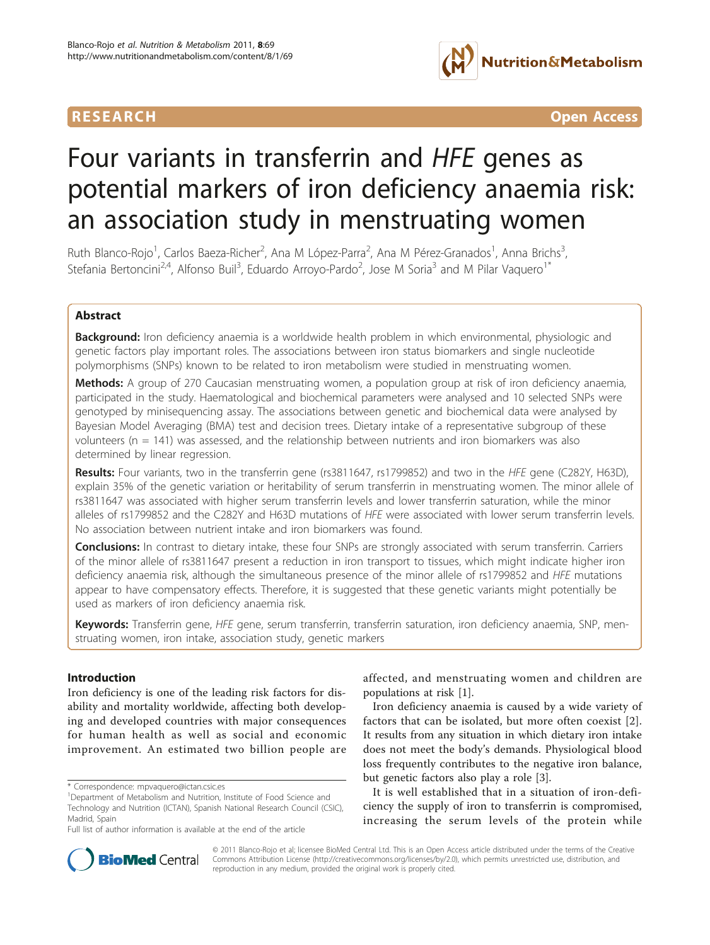

**RESEARCH Open Access** 

# Four variants in transferrin and HFE genes as potential markers of iron deficiency anaemia risk: an association study in menstruating women

Ruth Blanco-Rojo<sup>1</sup>, Carlos Baeza-Richer<sup>2</sup>, Ana M López-Parra<sup>2</sup>, Ana M Pérez-Granados<sup>1</sup>, Anna Brichs<sup>3</sup> , Stefania Bertoncini<sup>2,4</sup>, Alfonso Buil<sup>3</sup>, Eduardo Arroyo-Pardo<sup>2</sup>, Jose M Soria<sup>3</sup> and M Pilar Vaquero<sup>1\*</sup>

# Abstract

**Background:** Iron deficiency anaemia is a worldwide health problem in which environmental, physiologic and genetic factors play important roles. The associations between iron status biomarkers and single nucleotide polymorphisms (SNPs) known to be related to iron metabolism were studied in menstruating women.

Methods: A group of 270 Caucasian menstruating women, a population group at risk of iron deficiency anaemia, participated in the study. Haematological and biochemical parameters were analysed and 10 selected SNPs were genotyped by minisequencing assay. The associations between genetic and biochemical data were analysed by Bayesian Model Averaging (BMA) test and decision trees. Dietary intake of a representative subgroup of these volunteers (n = 141) was assessed, and the relationship between nutrients and iron biomarkers was also determined by linear regression.

Results: Four variants, two in the transferrin gene (rs3811647, rs1799852) and two in the HFE gene (C282Y, H63D), explain 35% of the genetic variation or heritability of serum transferrin in menstruating women. The minor allele of rs3811647 was associated with higher serum transferrin levels and lower transferrin saturation, while the minor alleles of rs1799852 and the C282Y and H63D mutations of HFE were associated with lower serum transferrin levels. No association between nutrient intake and iron biomarkers was found.

**Conclusions:** In contrast to dietary intake, these four SNPs are strongly associated with serum transferrin. Carriers of the minor allele of rs3811647 present a reduction in iron transport to tissues, which might indicate higher iron deficiency anaemia risk, although the simultaneous presence of the minor allele of rs1799852 and HFE mutations appear to have compensatory effects. Therefore, it is suggested that these genetic variants might potentially be used as markers of iron deficiency anaemia risk.

Keywords: Transferrin gene, HFE gene, serum transferrin, transferrin saturation, iron deficiency anaemia, SNP, menstruating women, iron intake, association study, genetic markers

# Introduction

Iron deficiency is one of the leading risk factors for disability and mortality worldwide, affecting both developing and developed countries with major consequences for human health as well as social and economic improvement. An estimated two billion people are

\* Correspondence: [mpvaquero@ictan.csic.es](mailto:mpvaquero@ictan.csic.es)

affected, and menstruating women and children are populations at risk [[1](#page-7-0)].

Iron deficiency anaemia is caused by a wide variety of factors that can be isolated, but more often coexist [[2](#page-7-0)]. It results from any situation in which dietary iron intake does not meet the body's demands. Physiological blood loss frequently contributes to the negative iron balance, but genetic factors also play a role [[3](#page-7-0)].

It is well established that in a situation of iron-deficiency the supply of iron to transferrin is compromised, increasing the serum levels of the protein while



© 2011 Blanco-Rojo et al; licensee BioMed Central Ltd. This is an Open Access article distributed under the terms of the Creative Commons Attribution License [\(http://creativecommons.org/licenses/by/2.0](http://creativecommons.org/licenses/by/2.0)), which permits unrestricted use, distribution, and reproduction in any medium, provided the original work is properly cited.

<sup>&</sup>lt;sup>1</sup>Department of Metabolism and Nutrition, Institute of Food Science and Technology and Nutrition (ICTAN), Spanish National Research Council (CSIC), Madrid, Spain

Full list of author information is available at the end of the article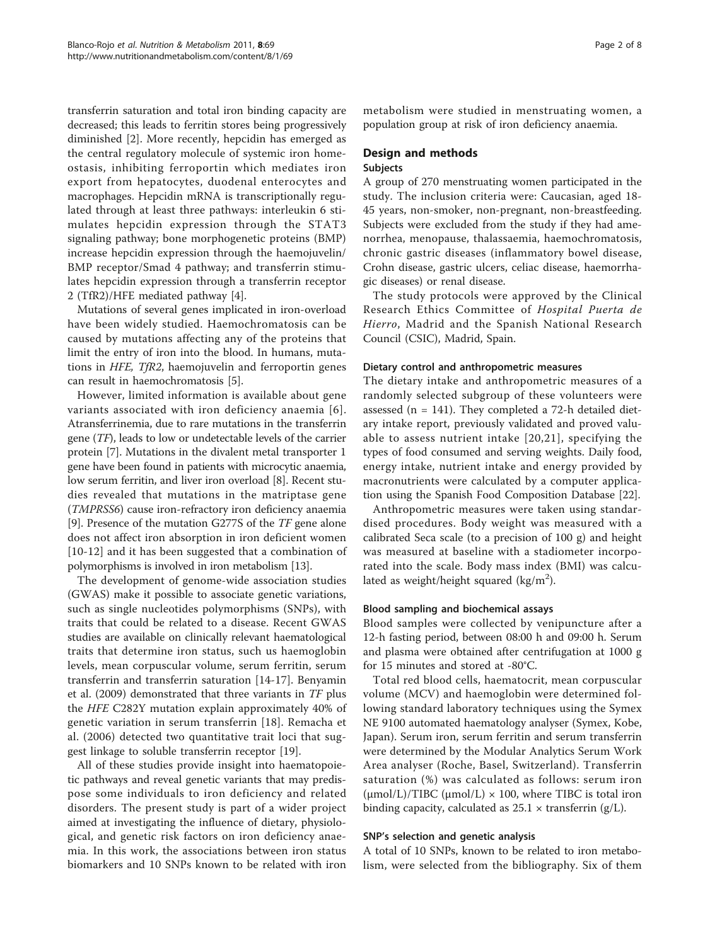transferrin saturation and total iron binding capacity are decreased; this leads to ferritin stores being progressively diminished [\[2](#page-7-0)]. More recently, hepcidin has emerged as the central regulatory molecule of systemic iron homeostasis, inhibiting ferroportin which mediates iron export from hepatocytes, duodenal enterocytes and macrophages. Hepcidin mRNA is transcriptionally regulated through at least three pathways: interleukin 6 stimulates hepcidin expression through the STAT3 signaling pathway; bone morphogenetic proteins (BMP) increase hepcidin expression through the haemojuvelin/ BMP receptor/Smad 4 pathway; and transferrin stimulates hepcidin expression through a transferrin receptor 2 (TfR2)/HFE mediated pathway [[4\]](#page-7-0).

Mutations of several genes implicated in iron-overload have been widely studied. Haemochromatosis can be caused by mutations affecting any of the proteins that limit the entry of iron into the blood. In humans, mutations in HFE, TfR2, haemojuvelin and ferroportin genes can result in haemochromatosis [\[5](#page-7-0)].

However, limited information is available about gene variants associated with iron deficiency anaemia [[6\]](#page-7-0). Atransferrinemia, due to rare mutations in the transferrin gene (TF), leads to low or undetectable levels of the carrier protein [\[7](#page-7-0)]. Mutations in the divalent metal transporter 1 gene have been found in patients with microcytic anaemia, low serum ferritin, and liver iron overload [[8\]](#page-7-0). Recent studies revealed that mutations in the matriptase gene (TMPRSS6) cause iron-refractory iron deficiency anaemia [[9\]](#page-7-0). Presence of the mutation G277S of the TF gene alone does not affect iron absorption in iron deficient women [[10](#page-7-0)-[12\]](#page-7-0) and it has been suggested that a combination of polymorphisms is involved in iron metabolism [\[13\]](#page-7-0).

The development of genome-wide association studies (GWAS) make it possible to associate genetic variations, such as single nucleotides polymorphisms (SNPs), with traits that could be related to a disease. Recent GWAS studies are available on clinically relevant haematological traits that determine iron status, such us haemoglobin levels, mean corpuscular volume, serum ferritin, serum transferrin and transferrin saturation [\[14](#page-7-0)-[17\]](#page-7-0). Benyamin et al. (2009) demonstrated that three variants in TF plus the HFE C282Y mutation explain approximately 40% of genetic variation in serum transferrin [\[18](#page-7-0)]. Remacha et al. (2006) detected two quantitative trait loci that suggest linkage to soluble transferrin receptor [[19](#page-7-0)].

All of these studies provide insight into haematopoietic pathways and reveal genetic variants that may predispose some individuals to iron deficiency and related disorders. The present study is part of a wider project aimed at investigating the influence of dietary, physiological, and genetic risk factors on iron deficiency anaemia. In this work, the associations between iron status biomarkers and 10 SNPs known to be related with iron metabolism were studied in menstruating women, a population group at risk of iron deficiency anaemia.

# Design and methods Subjects

A group of 270 menstruating women participated in the study. The inclusion criteria were: Caucasian, aged 18- 45 years, non-smoker, non-pregnant, non-breastfeeding. Subjects were excluded from the study if they had amenorrhea, menopause, thalassaemia, haemochromatosis, chronic gastric diseases (inflammatory bowel disease, Crohn disease, gastric ulcers, celiac disease, haemorrhagic diseases) or renal disease.

The study protocols were approved by the Clinical Research Ethics Committee of Hospital Puerta de Hierro, Madrid and the Spanish National Research Council (CSIC), Madrid, Spain.

# Dietary control and anthropometric measures

The dietary intake and anthropometric measures of a randomly selected subgroup of these volunteers were assessed (n = 141). They completed a 72-h detailed dietary intake report, previously validated and proved valuable to assess nutrient intake [[20](#page-7-0),[21](#page-7-0)], specifying the types of food consumed and serving weights. Daily food, energy intake, nutrient intake and energy provided by macronutrients were calculated by a computer application using the Spanish Food Composition Database [\[22](#page-7-0)].

Anthropometric measures were taken using standardised procedures. Body weight was measured with a calibrated Seca scale (to a precision of 100 g) and height was measured at baseline with a stadiometer incorporated into the scale. Body mass index (BMI) was calculated as weight/height squared (kg/m<sup>2</sup>).

### Blood sampling and biochemical assays

Blood samples were collected by venipuncture after a 12-h fasting period, between 08:00 h and 09:00 h. Serum and plasma were obtained after centrifugation at 1000 g for 15 minutes and stored at -80°C.

Total red blood cells, haematocrit, mean corpuscular volume (MCV) and haemoglobin were determined following standard laboratory techniques using the Symex NE 9100 automated haematology analyser (Symex, Kobe, Japan). Serum iron, serum ferritin and serum transferrin were determined by the Modular Analytics Serum Work Area analyser (Roche, Basel, Switzerland). Transferrin saturation (%) was calculated as follows: serum iron  $(\mu \text{mol/L})/TIBC$   $(\mu \text{mol/L}) \times 100$ , where TIBC is total iron binding capacity, calculated as  $25.1 \times \text{transfer}$  (g/L).

#### SNP's selection and genetic analysis

A total of 10 SNPs, known to be related to iron metabolism, were selected from the bibliography. Six of them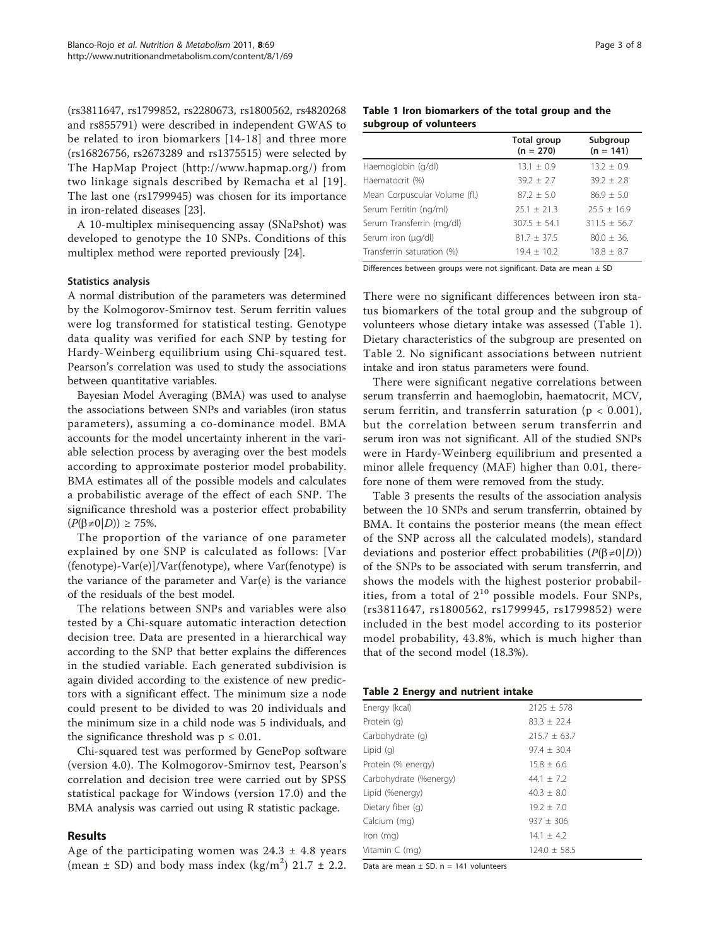(rs3811647, rs1799852, rs2280673, rs1800562, rs4820268 and rs855791) were described in independent GWAS to be related to iron biomarkers [[14](#page-7-0)-[18\]](#page-7-0) and three more (rs16826756, rs2673289 and rs1375515) were selected by The HapMap Project ([http://www.hapmap.org/\)](http://www.hapmap.org/) from two linkage signals described by Remacha et al [[19\]](#page-7-0). The last one (rs1799945) was chosen for its importance in iron-related diseases [[23](#page-7-0)].

A 10-multiplex minisequencing assay (SNaPshot) was developed to genotype the 10 SNPs. Conditions of this multiplex method were reported previously [\[24\]](#page-7-0).

# Statistics analysis

A normal distribution of the parameters was determined by the Kolmogorov-Smirnov test. Serum ferritin values were log transformed for statistical testing. Genotype data quality was verified for each SNP by testing for Hardy-Weinberg equilibrium using Chi-squared test. Pearson's correlation was used to study the associations between quantitative variables.

Bayesian Model Averaging (BMA) was used to analyse the associations between SNPs and variables (iron status parameters), assuming a co-dominance model. BMA accounts for the model uncertainty inherent in the variable selection process by averaging over the best models according to approximate posterior model probability. BMA estimates all of the possible models and calculates a probabilistic average of the effect of each SNP. The significance threshold was a posterior effect probability  $(P(\beta \neq 0|D)) \geq 75\%.$ 

The proportion of the variance of one parameter explained by one SNP is calculated as follows: [Var (fenotype)-Var(e)]/Var(fenotype), where Var(fenotype) is the variance of the parameter and Var(e) is the variance of the residuals of the best model.

The relations between SNPs and variables were also tested by a Chi-square automatic interaction detection decision tree. Data are presented in a hierarchical way according to the SNP that better explains the differences in the studied variable. Each generated subdivision is again divided according to the existence of new predictors with a significant effect. The minimum size a node could present to be divided to was 20 individuals and the minimum size in a child node was 5 individuals, and the significance threshold was  $p \leq 0.01$ .

Chi-squared test was performed by GenePop software (version 4.0). The Kolmogorov-Smirnov test, Pearson's correlation and decision tree were carried out by SPSS statistical package for Windows (version 17.0) and the BMA analysis was carried out using R statistic package.

# Results

Age of the participating women was  $24.3 \pm 4.8$  years (mean  $\pm$  SD) and body mass index (kg/m<sup>2</sup>) 21.7  $\pm$  2.2.

# Table 1 Iron biomarkers of the total group and the subgroup of volunteers

|                               | <b>Total group</b><br>$(n = 270)$ | Subgroup<br>$(n = 141)$ |
|-------------------------------|-----------------------------------|-------------------------|
| Haemoglobin (g/dl)            | $13.1 \pm 0.9$                    | $13.2 \pm 0.9$          |
| Haematocrit (%)               | $39.2 \pm 2.7$                    | $39.2 \pm 2.8$          |
| Mean Corpuscular Volume (fl.) | $87.2 + 5.0$                      | $86.9 + 5.0$            |
| Serum Ferritin (ng/ml)        | $25.1 + 21.3$                     | $25.5 + 16.9$           |
| Serum Transferrin (mg/dl)     | $307.5 + 54.1$                    | $311.5 + 56.7$          |
| Serum iron (µg/dl)            | $81.7 + 37.5$                     | $80.0 + 36.$            |
| Transferrin saturation (%)    | $19.4 \pm 10.2$                   | $18.8 + 8.7$            |

Differences between groups were not significant. Data are mean ± SD

There were no significant differences between iron status biomarkers of the total group and the subgroup of volunteers whose dietary intake was assessed (Table 1). Dietary characteristics of the subgroup are presented on Table 2. No significant associations between nutrient intake and iron status parameters were found.

There were significant negative correlations between serum transferrin and haemoglobin, haematocrit, MCV, serum ferritin, and transferrin saturation ( $p < 0.001$ ), but the correlation between serum transferrin and serum iron was not significant. All of the studied SNPs were in Hardy-Weinberg equilibrium and presented a minor allele frequency (MAF) higher than 0.01, therefore none of them were removed from the study.

Table [3](#page-3-0) presents the results of the association analysis between the 10 SNPs and serum transferrin, obtained by BMA. It contains the posterior means (the mean effect of the SNP across all the calculated models), standard deviations and posterior effect probabilities  $(P(\beta \neq 0|D))$ of the SNPs to be associated with serum transferrin, and shows the models with the highest posterior probabilities, from a total of  $2^{10}$  possible models. Four SNPs, (rs3811647, rs1800562, rs1799945, rs1799852) were included in the best model according to its posterior model probability, 43.8%, which is much higher than that of the second model (18.3%).

| Table 2 Energy and nutrient intake |  |  |  |
|------------------------------------|--|--|--|
|------------------------------------|--|--|--|

| Energy (kcal)          | $2125 + 578$     |
|------------------------|------------------|
| Protein (g)            | $83.3 + 22.4$    |
| Carbohydrate (q)       | $215.7 + 63.7$   |
| Lipid $(q)$            | $97.4 \pm 30.4$  |
| Protein (% energy)     | $15.8 + 6.6$     |
| Carbohydrate (%energy) | 44.1 $\pm$ 7.2   |
| Lipid (%energy)        | $40.3 \pm 8.0$   |
| Dietary fiber (g)      | $19.2 \pm 7.0$   |
| Calcium (mg)           | $937 + 306$      |
| $lron$ (mg)            | $14.1 + 4.2$     |
| Vitamin $C$ (mg)       | $124.0 \pm 58.5$ |

Data are mean  $\pm$  SD. n = 141 volunteers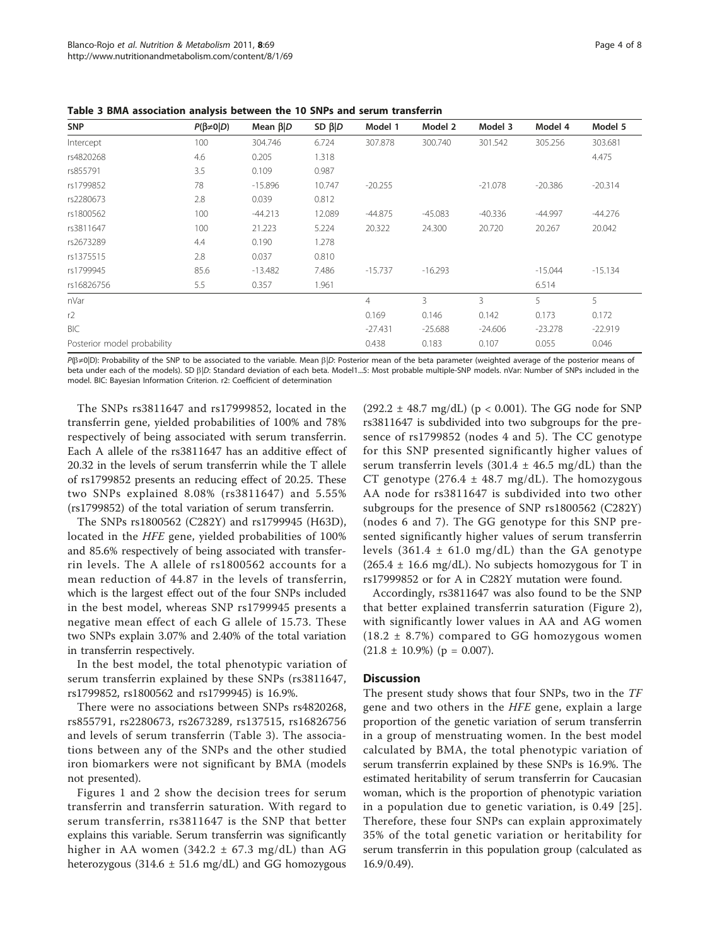| <b>SNP</b>                  | $P(\beta \neq 0 D)$ | Mean $\beta$  D | $SD \beta   D$ | Model 1        | Model 2   | Model 3   | Model 4   | Model 5   |
|-----------------------------|---------------------|-----------------|----------------|----------------|-----------|-----------|-----------|-----------|
| Intercept                   | 100                 | 304.746         | 6.724          | 307.878        | 300.740   | 301.542   | 305.256   | 303.681   |
| rs4820268                   | 4.6                 | 0.205           | 1.318          |                |           |           |           | 4.475     |
| rs855791                    | 3.5                 | 0.109           | 0.987          |                |           |           |           |           |
| rs1799852                   | 78                  | $-15.896$       | 10.747         | $-20.255$      |           | $-21.078$ | $-20.386$ | $-20.314$ |
| rs2280673                   | 2.8                 | 0.039           | 0.812          |                |           |           |           |           |
| rs1800562                   | 100                 | $-44.213$       | 12.089         | $-44.875$      | $-45.083$ | $-40.336$ | $-44.997$ | -44.276   |
| rs3811647                   | 100                 | 21.223          | 5.224          | 20.322         | 24.300    | 20.720    | 20.267    | 20.042    |
| rs2673289                   | 4.4                 | 0.190           | 1.278          |                |           |           |           |           |
| rs1375515                   | 2.8                 | 0.037           | 0.810          |                |           |           |           |           |
| rs1799945                   | 85.6                | $-13.482$       | 7.486          | $-15.737$      | $-16.293$ |           | $-15.044$ | $-15.134$ |
| rs16826756                  | 5.5                 | 0.357           | 1.961          |                |           |           | 6.514     |           |
| nVar                        |                     |                 |                | $\overline{4}$ | 3         | 3         | 5.        | 5         |
| r2                          |                     |                 |                | 0.169          | 0.146     | 0.142     | 0.173     | 0.172     |
| BIC                         |                     |                 |                | $-27.431$      | $-25.688$ | $-24.606$ | $-23.278$ | $-22.919$ |
| Posterior model probability |                     |                 |                | 0.438          | 0.183     | 0.107     | 0.055     | 0.046     |

<span id="page-3-0"></span>Table 3 BMA association analysis between the 10 SNPs and serum transferrin

P( $\beta \neq 0$ |D): Probability of the SNP to be associated to the variable. Mean  $\beta$ |D: Posterior mean of the beta parameter (weighted average of the posterior means of beta under each of the models). SD  $\beta|D$ : Standard deviation of each beta. Model1...5: Most probable multiple-SNP models. nVar: Number of SNPs included in the model. BIC: Bayesian Information Criterion. r2: Coefficient of determination

The SNPs rs3811647 and rs17999852, located in the transferrin gene, yielded probabilities of 100% and 78% respectively of being associated with serum transferrin. Each A allele of the rs3811647 has an additive effect of 20.32 in the levels of serum transferrin while the T allele of rs1799852 presents an reducing effect of 20.25. These two SNPs explained 8.08% (rs3811647) and 5.55% (rs1799852) of the total variation of serum transferrin.

The SNPs rs1800562 (C282Y) and rs1799945 (H63D), located in the HFE gene, yielded probabilities of 100% and 85.6% respectively of being associated with transferrin levels. The A allele of rs1800562 accounts for a mean reduction of 44.87 in the levels of transferrin, which is the largest effect out of the four SNPs included in the best model, whereas SNP rs1799945 presents a negative mean effect of each G allele of 15.73. These two SNPs explain 3.07% and 2.40% of the total variation in transferrin respectively.

In the best model, the total phenotypic variation of serum transferrin explained by these SNPs (rs3811647, rs1799852, rs1800562 and rs1799945) is 16.9%.

There were no associations between SNPs rs4820268, rs855791, rs2280673, rs2673289, rs137515, rs16826756 and levels of serum transferrin (Table 3). The associations between any of the SNPs and the other studied iron biomarkers were not significant by BMA (models not presented).

Figures [1](#page-4-0) and [2](#page-5-0) show the decision trees for serum transferrin and transferrin saturation. With regard to serum transferrin, rs3811647 is the SNP that better explains this variable. Serum transferrin was significantly higher in AA women  $(342.2 \pm 67.3 \text{ mg/dL})$  than AG heterozygous (314.6  $\pm$  51.6 mg/dL) and GG homozygous

 $(292.2 \pm 48.7 \text{ mg/dL})$  (p < 0.001). The GG node for SNP rs3811647 is subdivided into two subgroups for the presence of rs1799852 (nodes 4 and 5). The CC genotype for this SNP presented significantly higher values of serum transferrin levels  $(301.4 \pm 46.5 \text{ mg/dL})$  than the CT genotype  $(276.4 \pm 48.7 \text{ mg/dL})$ . The homozygous AA node for rs3811647 is subdivided into two other subgroups for the presence of SNP rs1800562 (C282Y) (nodes 6 and 7). The GG genotype for this SNP presented significantly higher values of serum transferrin levels  $(361.4 \pm 61.0 \text{ mg/dL})$  than the GA genotype  $(265.4 \pm 16.6 \text{ mg/dL})$ . No subjects homozygous for T in rs17999852 or for A in C282Y mutation were found.

Accordingly, rs3811647 was also found to be the SNP that better explained transferrin saturation (Figure [2](#page-5-0)), with significantly lower values in AA and AG women  $(18.2 \pm 8.7%)$  compared to GG homozygous women  $(21.8 \pm 10.9\%)$  (p = 0.007).

# **Discussion**

The present study shows that four SNPs, two in the TF gene and two others in the HFE gene, explain a large proportion of the genetic variation of serum transferrin in a group of menstruating women. In the best model calculated by BMA, the total phenotypic variation of serum transferrin explained by these SNPs is 16.9%. The estimated heritability of serum transferrin for Caucasian woman, which is the proportion of phenotypic variation in a population due to genetic variation, is 0.49 [[25\]](#page-7-0). Therefore, these four SNPs can explain approximately 35% of the total genetic variation or heritability for serum transferrin in this population group (calculated as 16.9/0.49).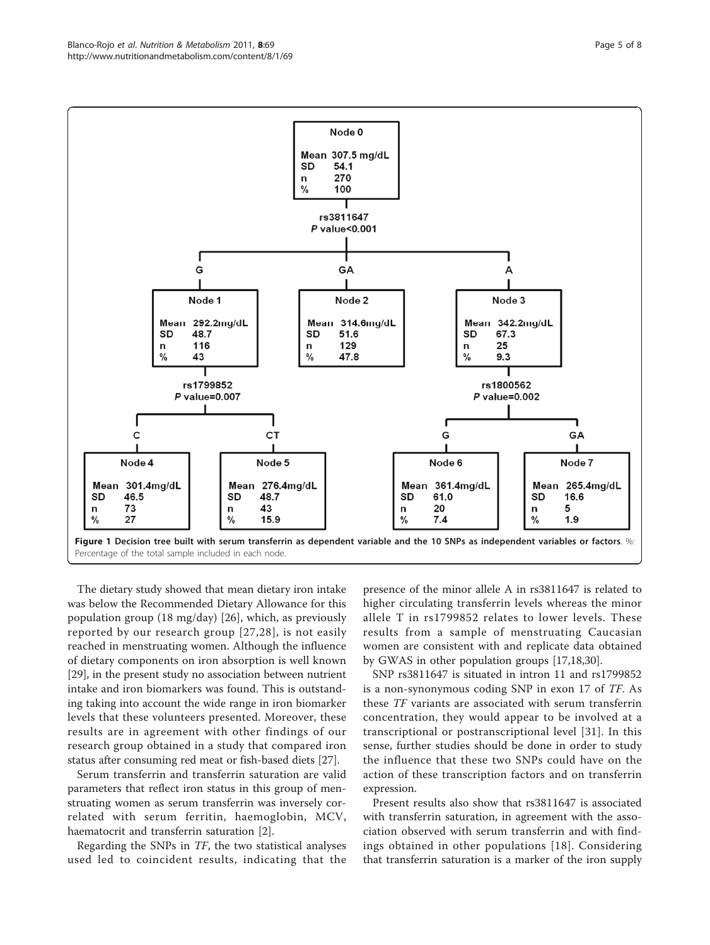<span id="page-4-0"></span>

The dietary study showed that mean dietary iron intake was below the Recommended Dietary Allowance for this population group (18 mg/day) [[26\]](#page-7-0), which, as previously reported by our research group [[27,28](#page-7-0)], is not easily reached in menstruating women. Although the influence of dietary components on iron absorption is well known [[29\]](#page-7-0), in the present study no association between nutrient intake and iron biomarkers was found. This is outstanding taking into account the wide range in iron biomarker levels that these volunteers presented. Moreover, these results are in agreement with other findings of our research group obtained in a study that compared iron status after consuming red meat or fish-based diets [\[27\]](#page-7-0).

Serum transferrin and transferrin saturation are valid parameters that reflect iron status in this group of menstruating women as serum transferrin was inversely correlated with serum ferritin, haemoglobin, MCV, haematocrit and transferrin saturation [[2\]](#page-7-0).

Regarding the SNPs in TF, the two statistical analyses used led to coincident results, indicating that the

presence of the minor allele A in rs3811647 is related to higher circulating transferrin levels whereas the minor allele T in rs1799852 relates to lower levels. These results from a sample of menstruating Caucasian women are consistent with and replicate data obtained by GWAS in other population groups [[17,18](#page-7-0),[30](#page-7-0)].

SNP rs3811647 is situated in intron 11 and rs1799852 is a non-synonymous coding SNP in exon 17 of TF. As these TF variants are associated with serum transferrin concentration, they would appear to be involved at a transcriptional or postranscriptional level [[31](#page-7-0)]. In this sense, further studies should be done in order to study the influence that these two SNPs could have on the action of these transcription factors and on transferrin expression.

Present results also show that rs3811647 is associated with transferrin saturation, in agreement with the association observed with serum transferrin and with findings obtained in other populations [[18](#page-7-0)]. Considering that transferrin saturation is a marker of the iron supply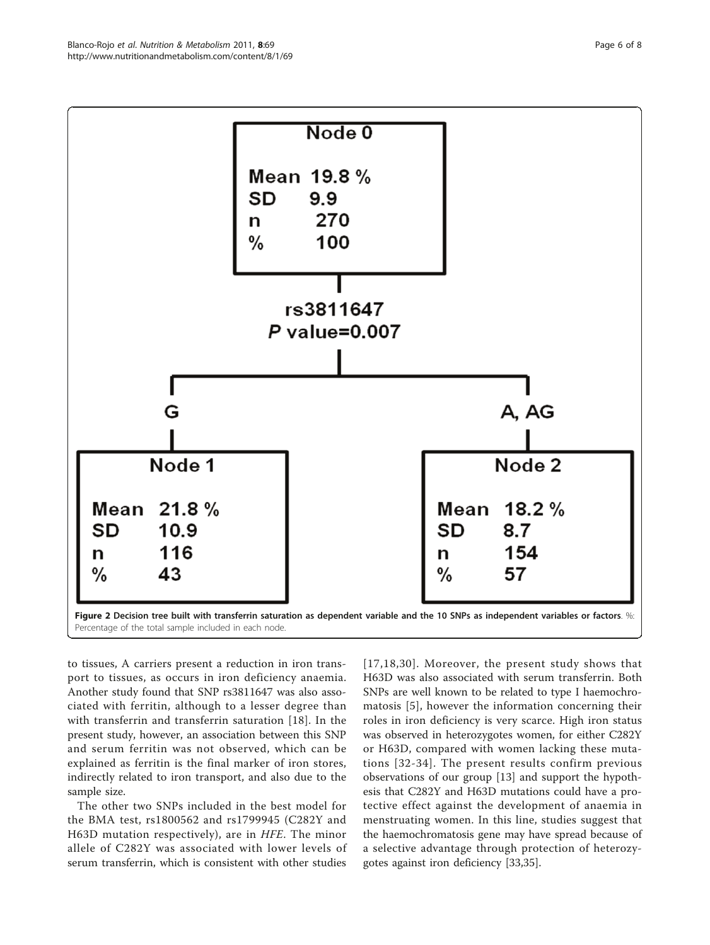<span id="page-5-0"></span>

to tissues, A carriers present a reduction in iron transport to tissues, as occurs in iron deficiency anaemia. Another study found that SNP rs3811647 was also associated with ferritin, although to a lesser degree than with transferrin and transferrin saturation [\[18](#page-7-0)]. In the present study, however, an association between this SNP and serum ferritin was not observed, which can be explained as ferritin is the final marker of iron stores, indirectly related to iron transport, and also due to the sample size.

The other two SNPs included in the best model for the BMA test, rs1800562 and rs1799945 (C282Y and H63D mutation respectively), are in HFE. The minor allele of C282Y was associated with lower levels of serum transferrin, which is consistent with other studies

[[17](#page-7-0),[18](#page-7-0),[30\]](#page-7-0). Moreover, the present study shows that H63D was also associated with serum transferrin. Both SNPs are well known to be related to type I haemochromatosis [[5\]](#page-7-0), however the information concerning their roles in iron deficiency is very scarce. High iron status was observed in heterozygotes women, for either C282Y or H63D, compared with women lacking these mutations [[32](#page-7-0)-[34\]](#page-7-0). The present results confirm previous observations of our group [[13\]](#page-7-0) and support the hypothesis that C282Y and H63D mutations could have a protective effect against the development of anaemia in menstruating women. In this line, studies suggest that the haemochromatosis gene may have spread because of a selective advantage through protection of heterozygotes against iron deficiency [\[33,35\]](#page-7-0).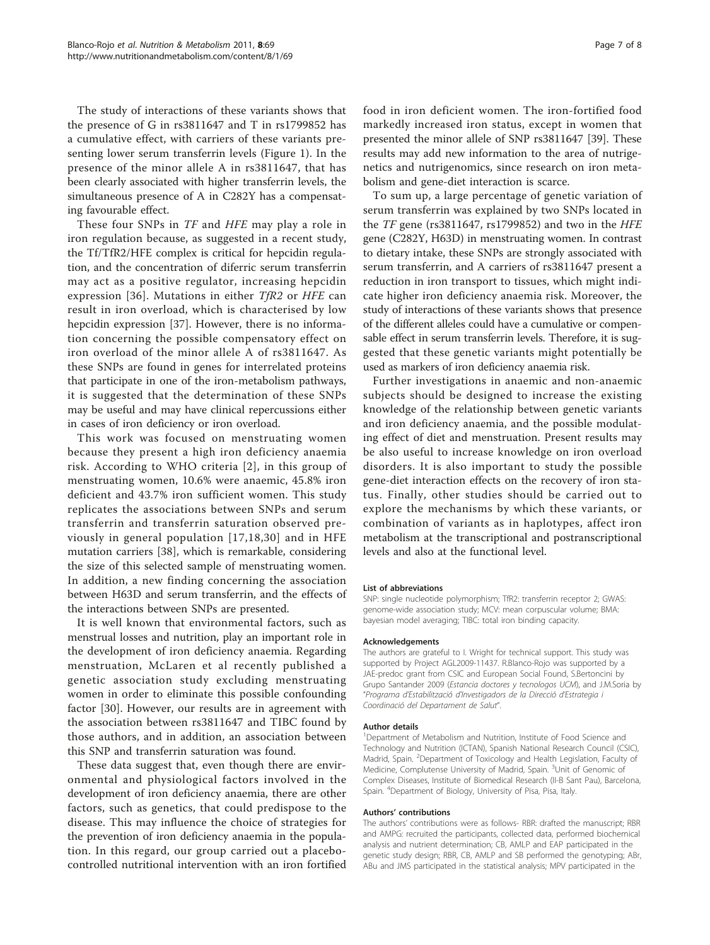The study of interactions of these variants shows that the presence of G in rs3811647 and T in rs1799852 has a cumulative effect, with carriers of these variants presenting lower serum transferrin levels (Figure [1](#page-4-0)). In the presence of the minor allele A in rs3811647, that has been clearly associated with higher transferrin levels, the simultaneous presence of A in C282Y has a compensating favourable effect.

These four SNPs in *TF* and *HFE* may play a role in iron regulation because, as suggested in a recent study, the Tf/TfR2/HFE complex is critical for hepcidin regulation, and the concentration of diferric serum transferrin may act as a positive regulator, increasing hepcidin expression [[36](#page-7-0)]. Mutations in either TfR2 or HFE can result in iron overload, which is characterised by low hepcidin expression [\[37](#page-7-0)]. However, there is no information concerning the possible compensatory effect on iron overload of the minor allele A of rs3811647. As these SNPs are found in genes for interrelated proteins that participate in one of the iron-metabolism pathways, it is suggested that the determination of these SNPs may be useful and may have clinical repercussions either in cases of iron deficiency or iron overload.

This work was focused on menstruating women because they present a high iron deficiency anaemia risk. According to WHO criteria [[2](#page-7-0)], in this group of menstruating women, 10.6% were anaemic, 45.8% iron deficient and 43.7% iron sufficient women. This study replicates the associations between SNPs and serum transferrin and transferrin saturation observed previously in general population [[17,18,30\]](#page-7-0) and in HFE mutation carriers [\[38\]](#page-7-0), which is remarkable, considering the size of this selected sample of menstruating women. In addition, a new finding concerning the association between H63D and serum transferrin, and the effects of the interactions between SNPs are presented.

It is well known that environmental factors, such as menstrual losses and nutrition, play an important role in the development of iron deficiency anaemia. Regarding menstruation, McLaren et al recently published a genetic association study excluding menstruating women in order to eliminate this possible confounding factor [[30\]](#page-7-0). However, our results are in agreement with the association between rs3811647 and TIBC found by those authors, and in addition, an association between this SNP and transferrin saturation was found.

These data suggest that, even though there are environmental and physiological factors involved in the development of iron deficiency anaemia, there are other factors, such as genetics, that could predispose to the disease. This may influence the choice of strategies for the prevention of iron deficiency anaemia in the population. In this regard, our group carried out a placebocontrolled nutritional intervention with an iron fortified food in iron deficient women. The iron-fortified food markedly increased iron status, except in women that presented the minor allele of SNP rs3811647 [[39\]](#page-7-0). These results may add new information to the area of nutrigenetics and nutrigenomics, since research on iron metabolism and gene-diet interaction is scarce.

To sum up, a large percentage of genetic variation of serum transferrin was explained by two SNPs located in the TF gene (rs3811647, rs1799852) and two in the HFE gene (C282Y, H63D) in menstruating women. In contrast to dietary intake, these SNPs are strongly associated with serum transferrin, and A carriers of rs3811647 present a reduction in iron transport to tissues, which might indicate higher iron deficiency anaemia risk. Moreover, the study of interactions of these variants shows that presence of the different alleles could have a cumulative or compensable effect in serum transferrin levels. Therefore, it is suggested that these genetic variants might potentially be used as markers of iron deficiency anaemia risk.

Further investigations in anaemic and non-anaemic subjects should be designed to increase the existing knowledge of the relationship between genetic variants and iron deficiency anaemia, and the possible modulating effect of diet and menstruation. Present results may be also useful to increase knowledge on iron overload disorders. It is also important to study the possible gene-diet interaction effects on the recovery of iron status. Finally, other studies should be carried out to explore the mechanisms by which these variants, or combination of variants as in haplotypes, affect iron metabolism at the transcriptional and postranscriptional levels and also at the functional level.

#### List of abbreviations

SNP: single nucleotide polymorphism; TfR2: transferrin receptor 2; GWAS: genome-wide association study; MCV: mean corpuscular volume; BMA: bayesian model averaging; TIBC: total iron binding capacity.

#### Acknowledgements

The authors are grateful to I. Wright for technical support. This study was supported by Project AGL2009-11437. R.Blanco-Rojo was supported by a JAE-predoc grant from CSIC and European Social Found, S.Bertoncini by Grupo Santander 2009 (Estancia doctores y tecnologos UCM), and J.M.Soria by "Programa d'Estabilització d'Investigadors de la Direcció d'Estrategia i Coordinació del Departament de Salut".

#### Author details

<sup>1</sup>Department of Metabolism and Nutrition, Institute of Food Science and Technology and Nutrition (ICTAN), Spanish National Research Council (CSIC), Madrid, Spain. <sup>2</sup>Department of Toxicology and Health Legislation, Faculty of Medicine, Complutense University of Madrid, Spain. <sup>3</sup>Unit of Genomic of Complex Diseases, Institute of Biomedical Research (II-B Sant Pau), Barcelona, Spain. <sup>4</sup> Department of Biology, University of Pisa, Pisa, Italy.

#### Authors' contributions

The authors' contributions were as follows- RBR: drafted the manuscript; RBR and AMPG: recruited the participants, collected data, performed biochemical analysis and nutrient determination; CB, AMLP and EAP participated in the genetic study design; RBR, CB, AMLP and SB performed the genotyping; ABr, ABu and JMS participated in the statistical analysis; MPV participated in the